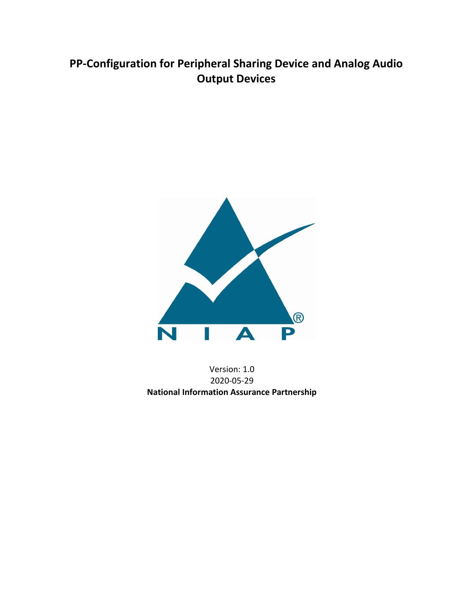# **PP-Configuration for Peripheral Sharing Device and Analog Audio Output Devices**



Version: 1.0 2020-05-29 **National Information Assurance Partnership**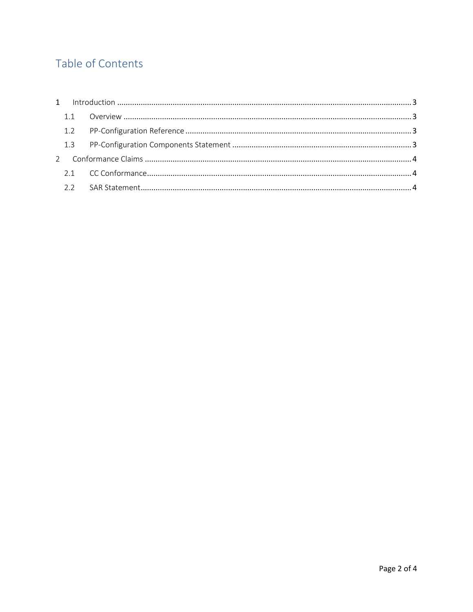# Table of Contents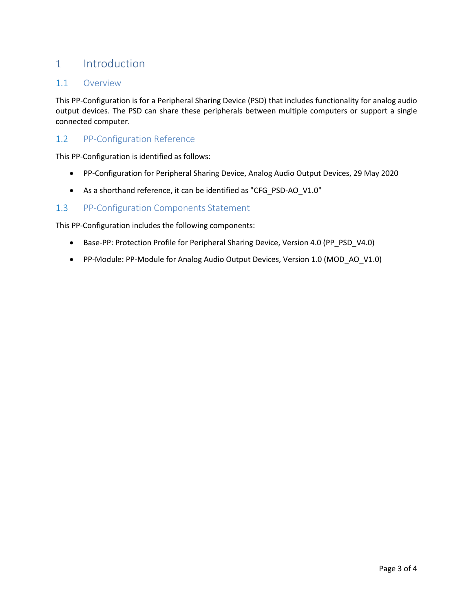# <span id="page-2-0"></span>1 Introduction

### <span id="page-2-1"></span>1.1 Overview

This PP-Configuration is for a Peripheral Sharing Device (PSD) that includes functionality for analog audio output devices. The PSD can share these peripherals between multiple computers or support a single connected computer.

### <span id="page-2-2"></span>1.2 PP-Configuration Reference

This PP-Configuration is identified as follows:

- PP-Configuration for Peripheral Sharing Device, Analog Audio Output Devices, 29 May 2020
- As a shorthand reference, it can be identified as "CFG\_PSD-AO\_V1.0"

### <span id="page-2-3"></span>1.3 PP-Configuration Components Statement

This PP-Configuration includes the following components:

- Base-PP: Protection Profile for Peripheral Sharing Device, Version 4.0 (PP\_PSD\_V4.0)
- PP-Module: PP-Module for Analog Audio Output Devices, Version 1.0 (MOD\_AO\_V1.0)